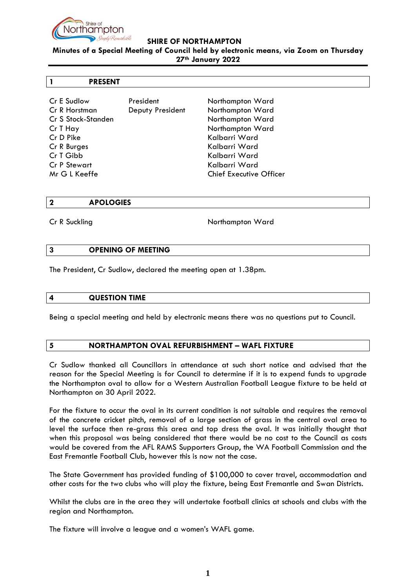

### **SHIRE OF NORTHAMPTON**

**Minutes of a Special Meeting of Council held by electronic means, via Zoom on Thursday 27th January 2022**

### **1 PRESENT**

Cr E Sudlow President Northampton Ward Cr R Horstman Deputy President Northampton Ward Cr S Stock-Standen Northampton Ward Cr T Hay Northampton Ward Cr D Pike Kalbarri Ward Cr R Burges Kalbarri Ward Cr T Gibb Kalbarri Ward Cr P Stewart Kalbarri Ward Mr G L Keeffe Chief Executive Officer

#### **2 APOLOGIES**

Cr R Suckling Northampton Ward

#### **3 OPENING OF MEETING**

The President, Cr Sudlow, declared the meeting open at 1.38pm.

#### **4 QUESTION TIME**

Being a special meeting and held by electronic means there was no questions put to Council.

## **5 NORTHAMPTON OVAL REFURBISHMENT – WAFL FIXTURE**

Cr Sudlow thanked all Councillors in attendance at such short notice and advised that the reason for the Special Meeting is for Council to determine if it is to expend funds to upgrade the Northampton oval to allow for a Western Australian Football League fixture to be held at Northampton on 30 April 2022.

For the fixture to occur the oval in its current condition is not suitable and requires the removal of the concrete cricket pitch, removal of a large section of grass in the central oval area to level the surface then re-grass this area and top dress the oval. It was initially thought that when this proposal was being considered that there would be no cost to the Council as costs would be covered from the AFL RAMS Supporters Group, the WA Football Commission and the East Fremantle Football Club, however this is now not the case.

The State Government has provided funding of \$100,000 to cover travel, accommodation and other costs for the two clubs who will play the fixture, being East Fremantle and Swan Districts.

Whilst the clubs are in the area they will undertake football clinics at schools and clubs with the region and Northampton.

The fixture will involve a league and a women's WAFL game.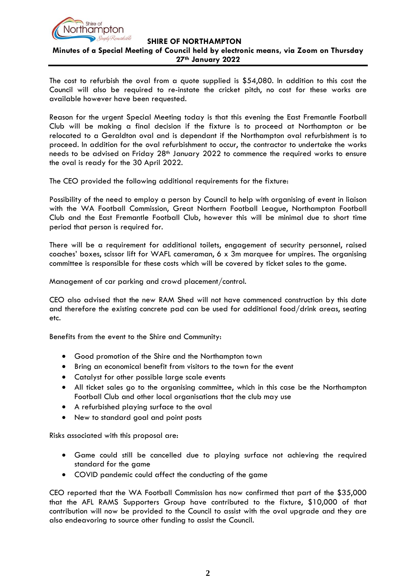

## **SHIRE OF NORTHAMPTON Minutes of a Special Meeting of Council held by electronic means, via Zoom on Thursday 27th January 2022**

The cost to refurbish the oval from a quote supplied is \$54,080. In addition to this cost the Council will also be required to re-instate the cricket pitch, no cost for these works are available however have been requested.

Reason for the urgent Special Meeting today is that this evening the East Fremantle Football Club will be making a final decision if the fixture is to proceed at Northampton or be relocated to a Geraldton oval and is dependant if the Northampton oval refurbishment is to proceed. In addition for the oval refurbishment to occur, the contractor to undertake the works needs to be advised on Friday 28<sup>th</sup> January 2022 to commence the required works to ensure the oval is ready for the 30 April 2022.

The CEO provided the following additional requirements for the fixture:

Possibility of the need to employ a person by Council to help with organising of event in liaison with the WA Football Commission, Great Northern Football League, Northampton Football Club and the East Fremantle Football Club, however this will be minimal due to short time period that person is required for.

There will be a requirement for additional toilets, engagement of security personnel, raised coaches' boxes, scissor lift for WAFL cameraman, 6 x 3m marquee for umpires. The organising committee is responsible for these costs which will be covered by ticket sales to the game.

Management of car parking and crowd placement/control.

CEO also advised that the new RAM Shed will not have commenced construction by this date and therefore the existing concrete pad can be used for additional food/drink areas, seating etc.

Benefits from the event to the Shire and Community:

- Good promotion of the Shire and the Northampton town
- Bring an economical benefit from visitors to the town for the event
- Catalyst for other possible large scale events
- All ticket sales go to the organising committee, which in this case be the Northampton Football Club and other local organisations that the club may use
- A refurbished playing surface to the oval
- New to standard goal and point posts

Risks associated with this proposal are:

- Game could still be cancelled due to playing surface not achieving the required standard for the game
- COVID pandemic could affect the conducting of the game

CEO reported that the WA Football Commission has now confirmed that part of the \$35,000 that the AFL RAMS Supporters Group have contributed to the fixture, \$10,000 of that contribution will now be provided to the Council to assist with the oval upgrade and they are also endeavoring to source other funding to assist the Council.